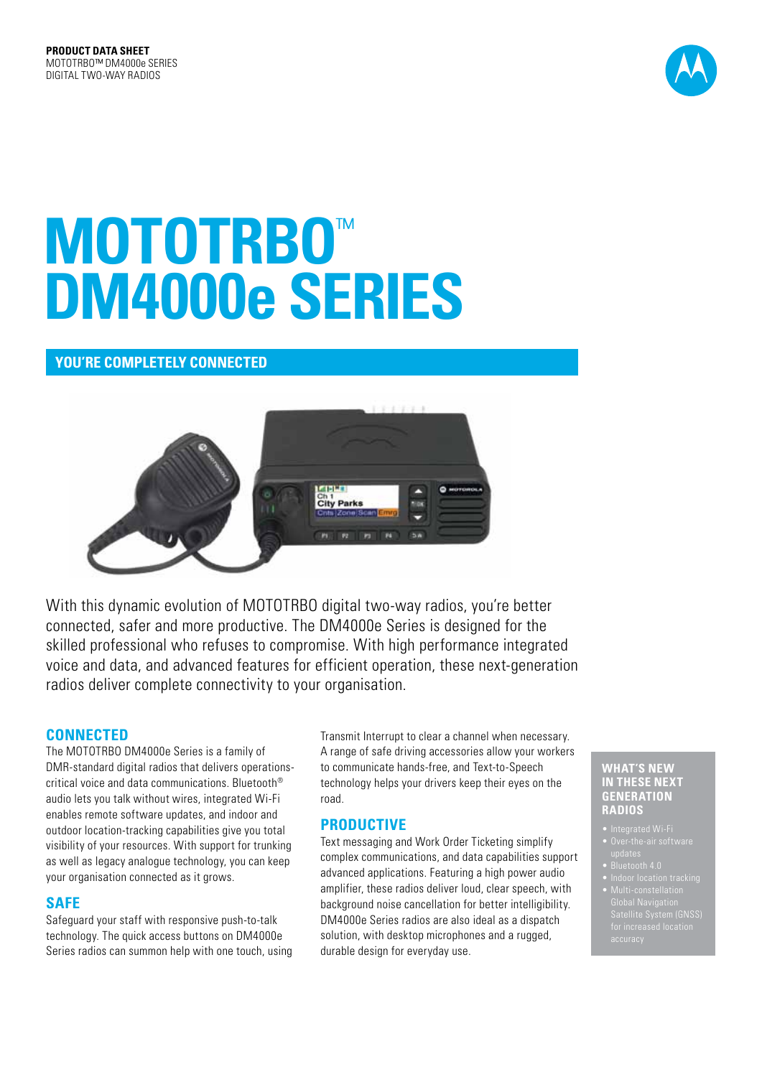

# **MOTOTRBO**™ **DM4000e SERIES**

# **YOU'RE COMPLETELY CONNECTED**



With this dynamic evolution of MOTOTRBO digital two-way radios, you're better connected, safer and more productive. The DM4000e Series is designed for the skilled professional who refuses to compromise. With high performance integrated voice and data, and advanced features for efficient operation, these next-generation radios deliver complete connectivity to your organisation.

# **CONNECTED**

The MOTOTRBO DM4000e Series is a family of DMR-standard digital radios that delivers operationscritical voice and data communications. Bluetooth® audio lets you talk without wires, integrated Wi-Fi enables remote software updates, and indoor and outdoor location-tracking capabilities give you total visibility of your resources. With support for trunking as well as legacy analogue technology, you can keep your organisation connected as it grows.

# **SAFE**

Safeguard your staff with responsive push-to-talk technology. The quick access buttons on DM4000e Series radios can summon help with one touch, using Transmit Interrupt to clear a channel when necessary. A range of safe driving accessories allow your workers to communicate hands-free, and Text-to-Speech technology helps your drivers keep their eyes on the road.

## **PRODUCTIVE**

Text messaging and Work Order Ticketing simplify complex communications, and data capabilities support advanced applications. Featuring a high power audio amplifier, these radios deliver loud, clear speech, with background noise cancellation for better intelligibility. DM4000e Series radios are also ideal as a dispatch solution, with desktop microphones and a rugged, durable design for everyday use.

### **WHAT'S NEW ITHESE NEXT GENERATION RADIOS**

- 
- 
- Bluetooth 4.0
- wurti-constenation<br>Global Navigation
-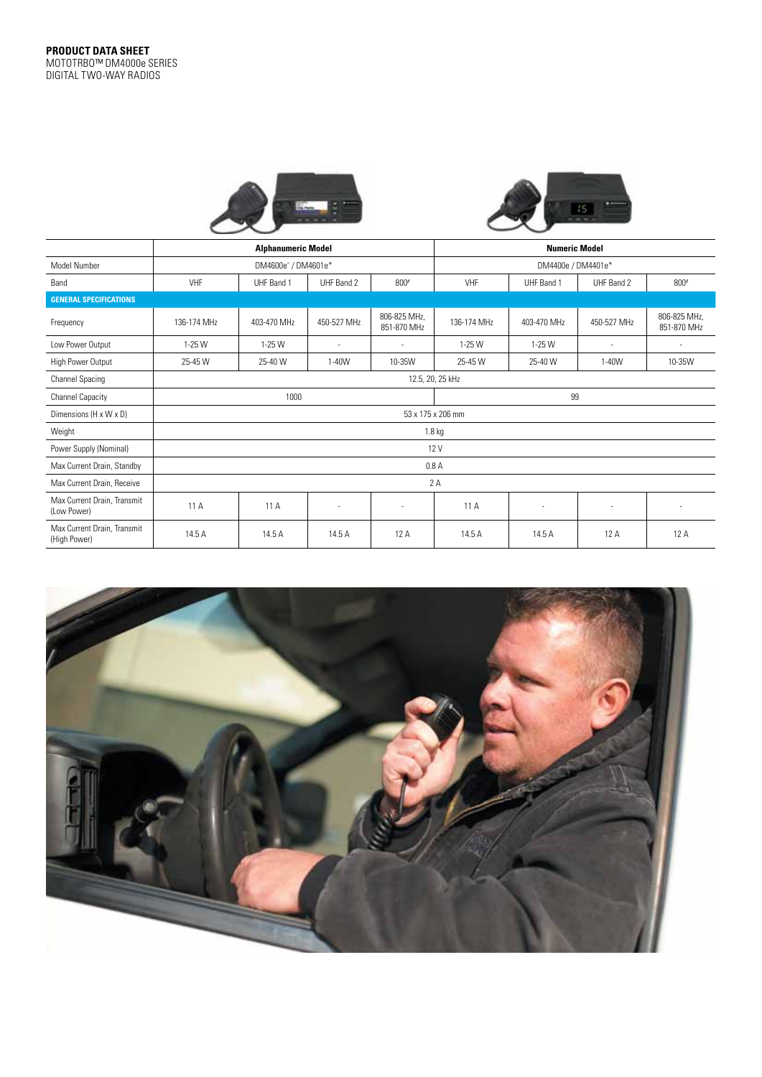



|                                             | <b>Alphanumeric Model</b> |             |             |                             | <b>Numeric Model</b> |             |             |                             |
|---------------------------------------------|---------------------------|-------------|-------------|-----------------------------|----------------------|-------------|-------------|-----------------------------|
| Model Number                                | DM4600e^ / DM4601e*       |             |             |                             | DM4400e / DM4401e*   |             |             |                             |
| Band                                        | VHF                       | UHF Band 1  | UHF Band 2  | 800#                        | VHF                  | UHF Band 1  | UHF Band 2  | $800*$                      |
| <b>GENERAL SPECIFICATIONS</b>               |                           |             |             |                             |                      |             |             |                             |
| Frequency                                   | 136-174 MHz               | 403-470 MHz | 450-527 MHz | 806-825 MHz,<br>851-870 MHz | 136-174 MHz          | 403-470 MHz | 450-527 MHz | 806-825 MHz,<br>851-870 MHz |
| Low Power Output                            | $1-25$ W                  | 1-25 W      | ٠           | ٠                           | 1-25 W               | 1-25 W      | ٠           | ٠                           |
| High Power Output                           | 25-45 W                   | 25-40 W     | 1-40W       | 10-35W                      | 25-45 W              | 25-40 W     | 1-40W       | 10-35W                      |
| Channel Spacing                             | 12.5, 20, 25 kHz          |             |             |                             |                      |             |             |                             |
| <b>Channel Capacity</b>                     | 1000                      |             |             |                             | 99                   |             |             |                             |
| Dimensions (H x W x D)                      | 53 x 175 x 206 mm         |             |             |                             |                      |             |             |                             |
| Weight                                      | 1.8 <sub>kg</sub>         |             |             |                             |                      |             |             |                             |
| Power Supply (Nominal)                      | 12 V                      |             |             |                             |                      |             |             |                             |
| Max Current Drain, Standby                  | 0.8A                      |             |             |                             |                      |             |             |                             |
| Max Current Drain, Receive                  | 2A                        |             |             |                             |                      |             |             |                             |
| Max Current Drain, Transmit<br>(Low Power)  | 11 A                      | 11 A        | ٠           | ٠                           | 11 A                 | ٠           | ٠           | $\sim$                      |
| Max Current Drain, Transmit<br>(High Power) | 14.5 A                    | 14.5 A      | 14.5 A      | 12 A                        | 14.5 A               | 14.5 A      | 12 A        | 12 A                        |

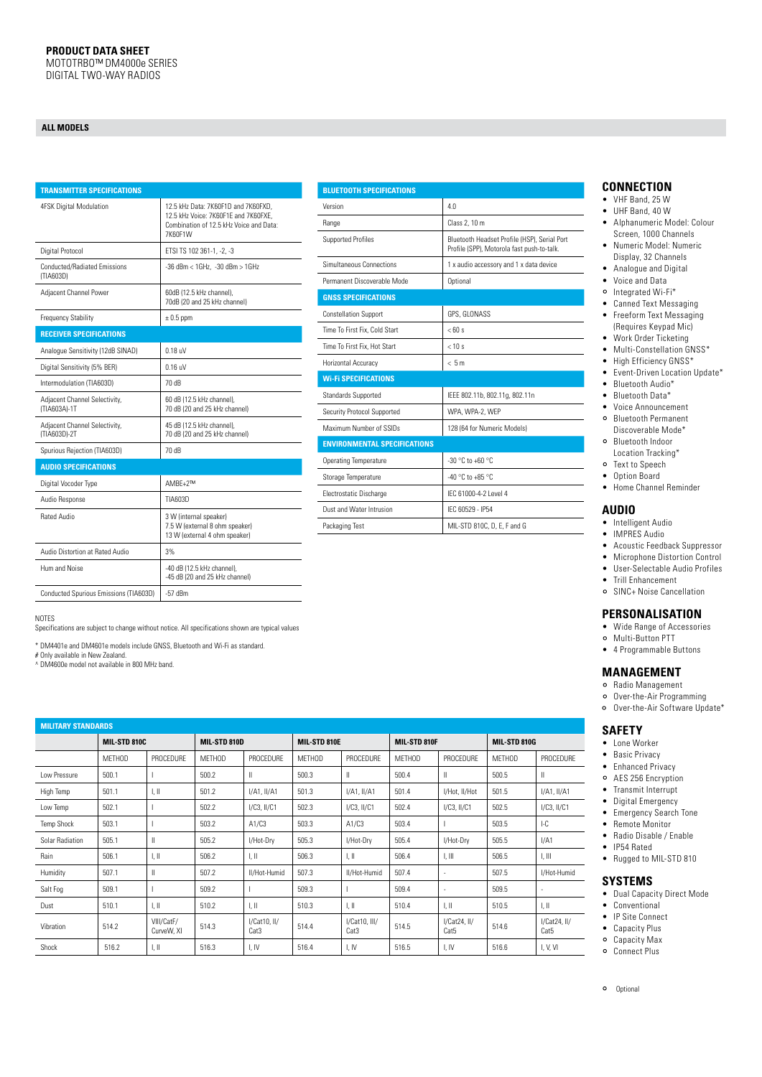DIGITAL TWO-WAY RADIOS

#### **ALL MODELS**

| <b>TRANSMITTER SPECIFICATIONS</b>                |                                                                                                                                   |  |  |  |  |
|--------------------------------------------------|-----------------------------------------------------------------------------------------------------------------------------------|--|--|--|--|
| <b>4FSK Digital Modulation</b>                   | 12.5 kHz Data: 7K60F1D and 7K60FXD,<br>12.5 kHz Voice: 7K60F1E and 7K60FXE.<br>Combination of 12.5 kHz Voice and Data:<br>7K60F1W |  |  |  |  |
| Digital Protocol                                 | ETSI TS 102 361-1, -2, -3                                                                                                         |  |  |  |  |
| <b>Conducted/Radiated Emissions</b><br>(TIA603D) | $-36$ dBm < $1$ GHz, $-30$ dBm > $1$ GHz                                                                                          |  |  |  |  |
| Adjacent Channel Power                           | 60dB (12.5 kHz channel),<br>70dB (20 and 25 kHz channel)                                                                          |  |  |  |  |
| <b>Frequency Stability</b>                       | $\pm$ 0.5 ppm                                                                                                                     |  |  |  |  |
| <b>RECEIVER SPECIFICATIONS</b>                   |                                                                                                                                   |  |  |  |  |
| Analoque Sensitivity (12dB SINAD)                | $0.18$ uV                                                                                                                         |  |  |  |  |
| Digital Sensitivity (5% BER)                     | $0.16$ uV                                                                                                                         |  |  |  |  |
| Intermodulation (TIA603D)                        | 70 dB                                                                                                                             |  |  |  |  |
| Adjacent Channel Selectivity,<br>(TIA603A)-1T    | 60 dB (12.5 kHz channel).<br>70 dB (20 and 25 kHz channel)                                                                        |  |  |  |  |
| Adjacent Channel Selectivity,<br>(TIA603D)-2T    | 45 dB (12.5 kHz channel),<br>70 dB (20 and 25 kHz channel)                                                                        |  |  |  |  |
| Spurious Rejection (TIA603D)                     | 70 dB                                                                                                                             |  |  |  |  |
| <b>AUDIO SPECIFICATIONS</b>                      |                                                                                                                                   |  |  |  |  |
| Digital Vocoder Type                             | AMBF+2™                                                                                                                           |  |  |  |  |
| Audio Response                                   | TIA603D                                                                                                                           |  |  |  |  |
| <b>Rated Audio</b>                               | 3 W (internal speaker)<br>7.5 W (external 8 ohm speaker)<br>13 W (external 4 ohm speaker)                                         |  |  |  |  |
| Audio Distortion at Rated Audio                  | 3%                                                                                                                                |  |  |  |  |
| Hum and Noise                                    | -40 dB (12.5 kHz channel),<br>-45 dB (20 and 25 kHz channel)                                                                      |  |  |  |  |
| Conducted Spurious Emissions (TIA603D)           | $-57$ dBm                                                                                                                         |  |  |  |  |

| <b>BLUETOOTH SPECIFICATIONS</b>                                                            |  |  |  |  |  |  |
|--------------------------------------------------------------------------------------------|--|--|--|--|--|--|
| 4.0                                                                                        |  |  |  |  |  |  |
| Class 2, 10 m                                                                              |  |  |  |  |  |  |
| Bluetooth Headset Profile (HSP), Serial Port<br>Profile (SPP), Motorola fast push-to-talk. |  |  |  |  |  |  |
| 1 x audio accessory and 1 x data device                                                    |  |  |  |  |  |  |
| Optional                                                                                   |  |  |  |  |  |  |
|                                                                                            |  |  |  |  |  |  |
| GPS, GLONASS                                                                               |  |  |  |  |  |  |
| $<$ 60 s                                                                                   |  |  |  |  |  |  |
| < 10 s                                                                                     |  |  |  |  |  |  |
| < 5m                                                                                       |  |  |  |  |  |  |
|                                                                                            |  |  |  |  |  |  |
| IEEE 802.11b, 802.11g, 802.11n                                                             |  |  |  |  |  |  |
| WPA, WPA-2, WEP                                                                            |  |  |  |  |  |  |
| 128 (64 for Numeric Models)                                                                |  |  |  |  |  |  |
|                                                                                            |  |  |  |  |  |  |
| $-30 °C$ to $+60 °C$                                                                       |  |  |  |  |  |  |
| -40 °C to +85 °C                                                                           |  |  |  |  |  |  |
| IFC 61000-4-2 Level 4                                                                      |  |  |  |  |  |  |
| IFC 60529 - IP54                                                                           |  |  |  |  |  |  |
| MIL-STD 810C, D, E, F and G                                                                |  |  |  |  |  |  |
|                                                                                            |  |  |  |  |  |  |

#### NOTES

Specifications are subject to change without notice. All specifications shown are typical values

\* DM4401e and DM4601e models include GNSS, Bluetooth and Wi-Fi as standard.

# Only available in New Zealand. ^ DM4600e model not available in 800 MHz band.

**MILITARY STANDARDS MIL-STD 810C MIL-STD 810D MIL-STD 810E MIL-STD 810F MIL-STD 810G** METHOD PROCEDURE METHOD PROCEDURE METHOD PROCEDURE METHOD PROCEDURE METHOD PROCEDURE Low Pressure 500.1 I 500.2 II 500.3 II 500.4 II 500.5 II High Temp 501.1 I, II 501.2 I/A1, II/A1 501.3 I/A1, II/A1 501.4 I/Hot, II/Hot 501.5 I/A1, II/A1 Low Temp 502.1 I 502.2 I/C3, II/C1 502.3 I/C3, II/C1 502.4 I/C3, II/C1 502.5 I/C3, II/C1 Temp Shock 503.1 I 503.2 A1/C3 503.3 A1/C3 503.4 I 503.5 I-C Solar Radiation 505.1 II 505.2 I/Hot-Dry 505.3 I/Hot-Dry 505.4 I/Hot-Dry 505.5 I/A1 Rain | 506.1 | I, II | 506.2 | I, II | 506.3 | I, II | 506.4 | I, III | | 506.5 | I, II Humidity 507.1 II 507.2 II/Hot-Humid 507.3 II/Hot-Humid 507.4 - 507.5 I/Hot-Humid Salt Fog 509.1 I 509.2 I 509.3 I 509.4 - 509.5 - Dust 510.1 I, II 510.2 I, II 510.3 I, II 510.4 I, II 510.5 I, II Vibration 514.2 VIII/CatF/  $VIII/CatF/$  514.3  $|V/Cat10, 11/$ <br>CurveW. XI 514.3  $Cat3$ || 1/Cat10, II/ || 514.4 || 1/Cat10, III/<br>| Cat3 | 1/Cat10, III/ | 514.5 | 1/Cat24, II/<br>Cat3 | Cat5  $\begin{array}{c|c}\n \text{1/Cat24, II/} \\
\text{Cat5}\n \end{array}$  514.6  $\begin{array}{c|c}\n \text{1/Cat24, II/} \\
\text{Cat5}\n \end{array}$ Cat5 Shock 516.2 I, II 516.3 I, IV 516.4 I, IV 516.5 I, IV 516.6 I, V, VI

## **CONNECTION**

- • VHF Band, 25 W
- • UHF Band, 40 W
- Alphanumeric Model: Colour Screen, 1000 Channels
- Numeric Model: Numeric Display, 32 Channels
- Analogue and Digital Voice and Data
- $\circ$  Integrated Wi-Fi\*
- • Canned Text Messaging
- • Freeform Text Messaging (Requires Keypad Mic)
- Work Order Ticketing
- Multi-Constellation GNSS\*
- High Efficiency GNSS\*
- Event-Driven Location Update\*
- Bluetooth Audio\*
- Bluetooth Data\*
- • Voice Announcement
- Bluetooth Permanent
- Discoverable Mode\* Bluetooth Indoor
- Location Tracking\*
- Text to Speech
- • Option Board
- • Home Channel Reminder

## **AUDIO**

- • Intelligent Audio
- • IMPRES Audio
- Acoustic Feedback Suppressor
- Microphone Distortion Control
- • User-Selectable Audio Profiles
- • Trill Enhancement
- SINC+ Noise Cancellation

#### **PERSONALISATION**

- • Wide Range of Accessories
- Multi-Button PTT
- • 4 Programmable Buttons

#### **MANAGEMENT**

- Radio Management
- Over-the-Air Programming
- Over-the-Air Software Update\*

## **SAFETY**

- • Lone Worker
- **Basic Privacy**
- • Enhanced Privacy
- $\circ$ AES 256 Encryption
- Transmit Interrupt
- Digital Emergency
- Emergency Search Tone
- • Remote Monitor
- • Radio Disable / Enable
- • IP54 Rated
- • Rugged to MIL-STD 810

## **SYSTEMS**

- Dual Capacity Direct Mode
- Conventional
- **IP Site Connect** • Capacity Plus
- 
- **Capacity Max**<br>**Connect Plus** Connect Plus
- O Ontional